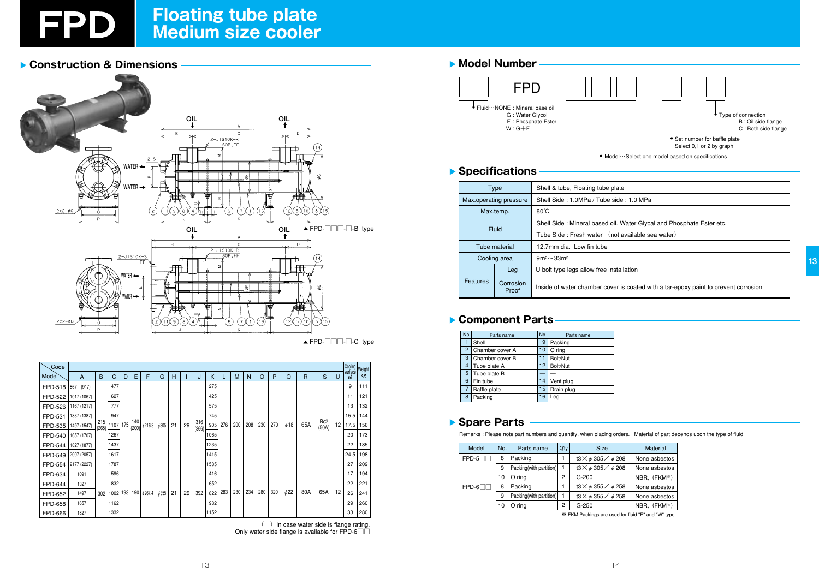

# Floating tube plate<br>Medium size cooler

### Construction & Dimensions



 $\blacktriangle$  FPD- $\Box$  $\Box$ - $\Box$ -C type

| Code              |              |              |            |   |              |                          |            |    |    |              |      |     |     |     |     |     |           |              |                          |    |              | Cooling   Weight |
|-------------------|--------------|--------------|------------|---|--------------|--------------------------|------------|----|----|--------------|------|-----|-----|-----|-----|-----|-----------|--------------|--------------------------|----|--------------|------------------|
| Mode <sup>r</sup> | A            | B            | C          | D | Е            | F                        | G          | Н  |    | J            | K    |     | M   | N   | O   | P   | Q         | $\mathsf{R}$ | S                        | U  | surface<br>m | kg               |
| <b>FPD-518</b>    | (917)<br>867 |              | 477<br>627 |   |              |                          |            |    |    |              | 275  |     |     |     |     |     |           |              |                          |    | 9            | 111              |
| <b>FPD-522</b>    | 1017 (1067)  | 215<br>(265) |            |   |              |                          |            |    |    | 425          |      |     |     |     |     |     |           |              |                          | 11 | 121          |                  |
| <b>FPD-526</b>    | 1167 (1217)  |              | 777        |   |              |                          | 6305       | 21 | 29 | 316<br>(366) | 575  |     |     | 208 | 230 | 270 | $\phi$ 18 | 65A          | Rc <sub>2</sub><br>(50A) | 12 | 13           | 132              |
| FPD-531           | 1337 (1387)  |              | 947        |   | 140<br>(200) | $\phi$ 216.3             |            |    |    |              | 745  |     | 200 |     |     |     |           |              |                          |    | 15.5         | 144              |
| FPD-535           | 1497 (1547)  |              | 1107 175   |   |              |                          |            |    |    |              | 905  | 276 |     |     |     |     |           |              |                          |    | 17.5         | 156              |
| <b>FPD-540</b>    | 1657 (1707)  |              | 1267       |   |              |                          |            |    |    |              | 1065 |     |     |     |     |     |           |              |                          |    | 20           | 173              |
| FPD-544           | 1827 (1877)  |              | 1437       |   |              |                          |            |    |    |              | 1235 |     |     |     |     |     |           |              |                          |    | 22           | 185              |
| FPD-549           | 2007 (2057)  |              | 1617       |   |              |                          |            |    |    |              | 1415 |     |     |     |     |     |           |              |                          |    | 24.5         | 198              |
| <b>FPD-554</b>    | 2177 (2227)  |              | 1787       |   |              |                          |            |    |    |              | 1585 |     |     |     |     |     |           |              |                          |    | 27           | 209              |
| FPD-634           | 1091         |              | 596        |   |              |                          | $\phi$ 355 | 21 | 29 |              | 416  |     |     | 234 | 280 | 320 | $\phi$ 22 | 80A          | 65A                      | 12 | 17           | 194              |
| <b>FPD-644</b>    | 1327         | 302          | 832        |   |              |                          |            |    |    |              | 652  |     |     |     |     |     |           |              |                          |    | 22           | 221              |
| FPD-652           | 1497         |              | 1002       |   |              | 193   190   $\phi$ 267.4 |            |    |    | 392          | 822  | 283 | 230 |     |     |     |           |              |                          |    | 26           | 241              |
| FPD-658           | 1657         |              | 1162       |   |              |                          |            |    |    |              | 982  |     |     |     |     |     |           |              |                          |    | 29           | 260              |
| <b>FPD-666</b>    | 1827         |              | 1332       |   |              |                          |            |    |    |              | 1152 |     |     |     |     |     |           |              |                          |    | 33           | 280              |

() In case water side is flange rating. Only water side flange is available for  $FPD-6\square$ 

# Model Number FPD Fluid ··· NONE : Mineral base oil G: Water Glycol F: Phosphate Ester  $W:G+F$

#### ▶ Specifications

|          | Type                   | Shell & tube, Floating tube plat  |  |  |  |  |
|----------|------------------------|-----------------------------------|--|--|--|--|
|          | Max.operating pressure | Shell Side: 1.0MPa / Tube sid     |  |  |  |  |
|          | Max.temp.              | $80^{\circ}$ C                    |  |  |  |  |
|          |                        | Shell Side: Mineral based oil.    |  |  |  |  |
|          | <b>Fluid</b>           | Tube Side: Fresh water (not       |  |  |  |  |
|          | Tube material          | 12.7mm dia. Low fin tube          |  |  |  |  |
|          | Cooling area           | $9m^2 \sim 33m^2$                 |  |  |  |  |
|          | Leg                    | U bolt type legs allow free insta |  |  |  |  |
| Features | Corrosion<br>Proof     | Inside of water chamber cover     |  |  |  |  |

#### Component Parts

| No.            | Parts name      | No.             | Parts name |
|----------------|-----------------|-----------------|------------|
|                | Shell           | 9               | Packing    |
| $\overline{2}$ | Chamber cover A | 10              | $O$ ring   |
| 3              | Chamber cover B | 11              | Bolt/Nut   |
| 4              | Tube plate A    | 12 <sub>2</sub> | Bolt/Nut   |
| 5              | Tube plate B    |                 |            |
| 6              | Fin tube        | 14              | Vent plug  |
|                | Baffle plate    | 15              | Drain plug |
| 8              | Packing         | 16              | Lea        |

#### Spare Parts

Remarks : Please note part numbers and quantity, when placing orders. Material of part depends upon the type of fluid

| Model   | No. | Parts name              | $Q'$ ty      | <b>Size</b>                                 | <b>Material</b> |  |
|---------|-----|-------------------------|--------------|---------------------------------------------|-----------------|--|
| $FPD-5$ | 8   | Packing                 |              | $13 \times \phi 305 / \phi 208$             | None asbestos   |  |
|         | 9   | Packing(with partition) | $\mathbf{1}$ | $t3 \times \phi 305 / \phi 208$             | None asbestos   |  |
|         | 10  | O ring                  | 2            | $G-200$                                     | NBR, (FKM*)     |  |
| $FPD-6$ | 8   | Packing                 |              | t3 $\times$ $\phi$ 355 $\diagup$ $\phi$ 258 | None asbestos   |  |
|         | 9   | Packing(with partition) |              | t3 $\times$ $\phi$ 355 $\diagup$ $\phi$ 258 | None asbestos   |  |
|         | 10  | O ring                  | 2            | $G-250$                                     | NBR, (FKM*)     |  |

\* FKM Packings are used for fluid "F" and "W" type.



allation

is coated with a tar-epoxy paint to prevent corrosion